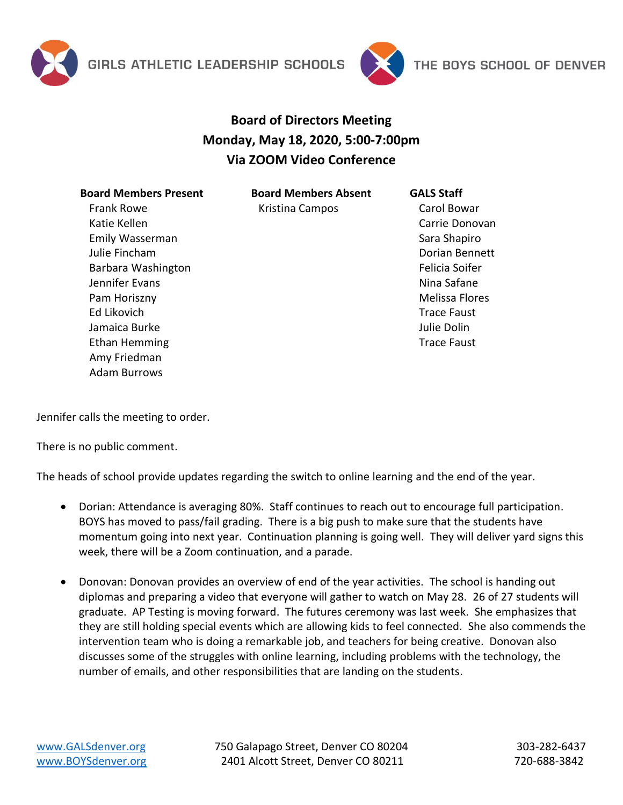



## **Board of Directors Meeting Monday, May 18, 2020, 5:00-7:00pm Via ZOOM Video Conference**

| <b>Board Members Present</b> |
|------------------------------|
| Frank Rowe                   |
| Katie Kellen                 |
| Emily Wasserman              |
| Julie Fincham                |
| Barbara Washington           |
| Jennifer Evans               |
| Pam Horiszny                 |
| Ed Likovich                  |
| Jamaica Burke                |
| Ethan Hemming                |
| Amy Friedman                 |
| Adam Burrows                 |
|                              |

**Board Members Absent** Kristina Campos

Carol Bowar Carrie Donovan Sara Shapiro Dorian Bennett Felicia Soifer Nina Safane Melissa Flores Trace Faust Julie Dolin Trace Faust

**GALS Staff**

Jennifer calls the meeting to order.

There is no public comment.

The heads of school provide updates regarding the switch to online learning and the end of the year.

- Dorian: Attendance is averaging 80%. Staff continues to reach out to encourage full participation. BOYS has moved to pass/fail grading. There is a big push to make sure that the students have momentum going into next year. Continuation planning is going well. They will deliver yard signs this week, there will be a Zoom continuation, and a parade.
- Donovan: Donovan provides an overview of end of the year activities. The school is handing out diplomas and preparing a video that everyone will gather to watch on May 28. 26 of 27 students will graduate. AP Testing is moving forward. The futures ceremony was last week. She emphasizes that they are still holding special events which are allowing kids to feel connected. She also commends the intervention team who is doing a remarkable job, and teachers for being creative. Donovan also discusses some of the struggles with online learning, including problems with the technology, the number of emails, and other responsibilities that are landing on the students.

[www.GALSdenver.org](http://www.galsdenver.org/) **750 Galapago Street, Denver CO 80204** 303-282-6437 [www.BOYSdenver.org](http://www.boysdenver.org/) 2401 Alcott Street, Denver CO 80211 720-688-3842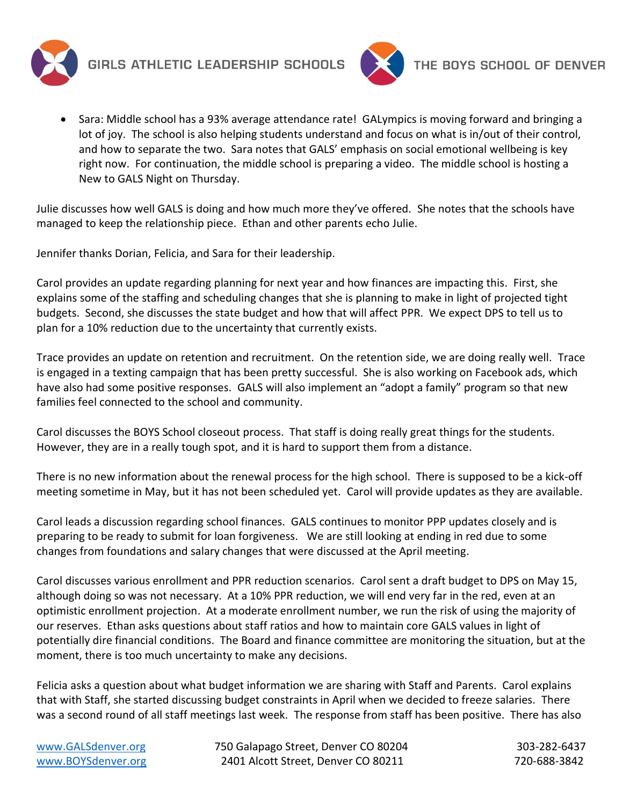



• Sara: Middle school has a 93% average attendance rate! GALympics is moving forward and bringing a lot of joy. The school is also helping students understand and focus on what is in/out of their control, and how to separate the two. Sara notes that GALS' emphasis on social emotional wellbeing is key right now. For continuation, the middle school is preparing a video. The middle school is hosting a New to GALS Night on Thursday.

Julie discusses how well GALS is doing and how much more they've offered. She notes that the schools have managed to keep the relationship piece. Ethan and other parents echo Julie.

Jennifer thanks Dorian, Felicia, and Sara for their leadership.

Carol provides an update regarding planning for next year and how finances are impacting this. First, she explains some of the staffing and scheduling changes that she is planning to make in light of projected tight budgets. Second, she discusses the state budget and how that will affect PPR. We expect DPS to tell us to plan for a 10% reduction due to the uncertainty that currently exists.

Trace provides an update on retention and recruitment. On the retention side, we are doing really well. Trace is engaged in a texting campaign that has been pretty successful. She is also working on Facebook ads, which have also had some positive responses. GALS will also implement an "adopt a family" program so that new families feel connected to the school and community.

Carol discusses the BOYS School closeout process. That staff is doing really great things for the students. However, they are in a really tough spot, and it is hard to support them from a distance.

There is no new information about the renewal process for the high school. There is supposed to be a kick-off meeting sometime in May, but it has not been scheduled yet. Carol will provide updates as they are available.

Carol leads a discussion regarding school finances. GALS continues to monitor PPP updates closely and is preparing to be ready to submit for loan forgiveness. We are still looking at ending in red due to some changes from foundations and salary changes that were discussed at the April meeting.

Carol discusses various enrollment and PPR reduction scenarios. Carol sent a draft budget to DPS on May 15, although doing so was not necessary. At a 10% PPR reduction, we will end very far in the red, even at an optimistic enrollment projection. At a moderate enrollment number, we run the risk of using the majority of our reserves. Ethan asks questions about staff ratios and how to maintain core GALS values in light of potentially dire financial conditions. The Board and finance committee are monitoring the situation, but at the moment, there is too much uncertainty to make any decisions.

Felicia asks a question about what budget information we are sharing with Staff and Parents. Carol explains that with Staff, she started discussing budget constraints in April when we decided to freeze salaries. There was a second round of all staff meetings last week. The response from staff has been positive. There has also

[www.GALSdenver.org](http://www.galsdenver.org/) **750 Galapago Street, Denver CO 80204** 303-282-6437 [www.BOYSdenver.org](http://www.boysdenver.org/) 
and 2401 Alcott Street, Denver CO 80211 1990-688-3842